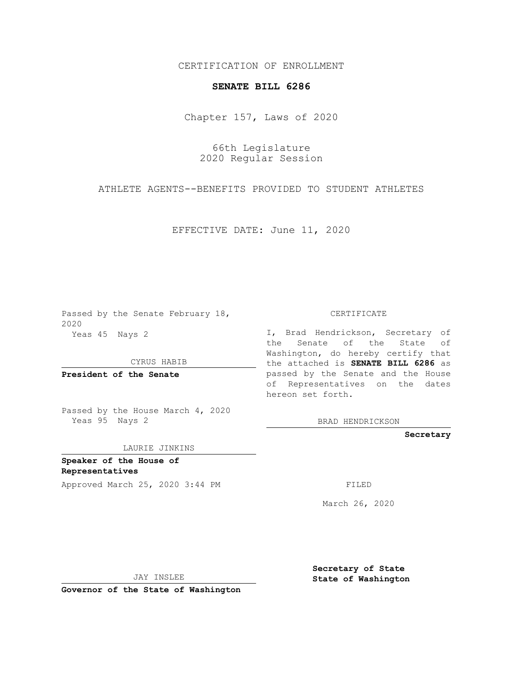## CERTIFICATION OF ENROLLMENT

## **SENATE BILL 6286**

Chapter 157, Laws of 2020

66th Legislature 2020 Regular Session

ATHLETE AGENTS--BENEFITS PROVIDED TO STUDENT ATHLETES

EFFECTIVE DATE: June 11, 2020

Passed by the Senate February 18, 2020 Yeas 45 Nays 2

CYRUS HABIB

**President of the Senate**

Passed by the House March 4, 2020 Yeas 95 Nays 2

LAURIE JINKINS

**Speaker of the House of Representatives**

Approved March 25, 2020 3:44 PM

CERTIFICATE

I, Brad Hendrickson, Secretary of the Senate of the State of Washington, do hereby certify that the attached is **SENATE BILL 6286** as passed by the Senate and the House of Representatives on the dates hereon set forth.

BRAD HENDRICKSON

**Secretary**

March 26, 2020

JAY INSLEE

**Governor of the State of Washington**

**Secretary of State State of Washington**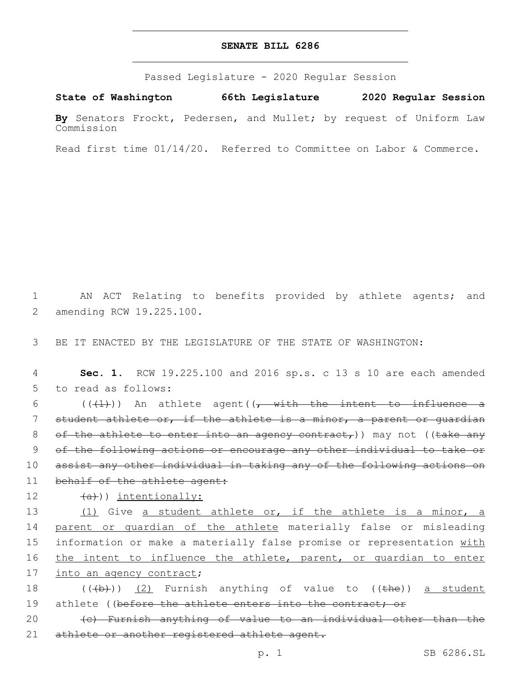## **SENATE BILL 6286**

Passed Legislature - 2020 Regular Session

**State of Washington 66th Legislature 2020 Regular Session**

**By** Senators Frockt, Pedersen, and Mullet; by request of Uniform Law Commission

Read first time 01/14/20. Referred to Committee on Labor & Commerce.

1 AN ACT Relating to benefits provided by athlete agents; and 2 amending RCW 19.225.100.

3 BE IT ENACTED BY THE LEGISLATURE OF THE STATE OF WASHINGTON:

4 **Sec. 1.** RCW 19.225.100 and 2016 sp.s. c 13 s 10 are each amended 5 to read as follows:

 $((+1))$  An athlete agent( $(-$  with the intent to influence a student athlete or, if the athlete is a minor, a parent or guardian 8 of the athlete to enter into an agency contract,)) may not ((take any of the following actions or encourage any other individual to take or assist any other individual in taking any of the following actions on 11 behalf of the athlete agent:

## 12 (a))) intentionally:

13 (1) Give a student athlete or, if the athlete is a minor, a 14 parent or quardian of the athlete materially false or misleading 15 information or make a materially false promise or representation with 16 the intent to influence the athlete, parent, or quardian to enter 17 into an agency contract;

18  $((\overline{a},\overline{b}))$  (2) Furnish anything of value to  $((\overline{a},\overline{b}))$  a student 19 athlete ((before the athlete enters into the contract; or

20 (c) Furnish anything of value to an individual other than the 21 athlete or another registered athlete agent.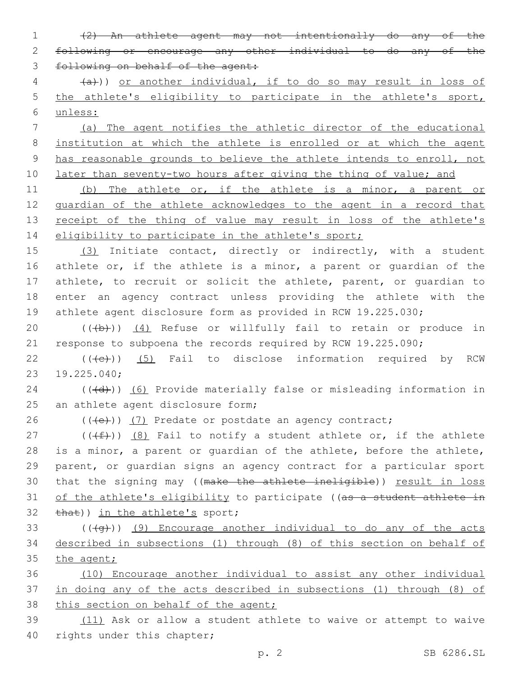1 (2) An athlete agent may not intentionally do any of the 2 following or encourage any other individual to do any of the 3 following on behalf of the agent:

4 (a))) or another individual, if to do so may result in loss of 5 the athlete's eligibility to participate in the athlete's sport, 6 unless:

 (a) The agent notifies the athletic director of the educational institution at which the athlete is enrolled or at which the agent has reasonable grounds to believe the athlete intends to enroll, not 10 later than seventy-two hours after giving the thing of value; and

11 (b) The athlete or, if the athlete is a minor, a parent or 12 guardian of the athlete acknowledges to the agent in a record that 13 receipt of the thing of value may result in loss of the athlete's 14 eligibility to participate in the athlete's sport;

 (3) Initiate contact, directly or indirectly, with a student 16 athlete or, if the athlete is a minor, a parent or quardian of the athlete, to recruit or solicit the athlete, parent, or guardian to enter an agency contract unless providing the athlete with the athlete agent disclosure form as provided in RCW 19.225.030;

20  $((+b))$   $(4)$  Refuse or willfully fail to retain or produce in 21 response to subpoena the records required by RCW 19.225.090;

22  $((\text{+e})^2)$  (5) Fail to disclose information required by RCW 19.225.040;23

24 (((d))) (6) Provide materially false or misleading information in 25 an athlete agent disclosure form;

 $26$  (((e))) (7) Predate or postdate an agency contract;

27 ( $(\text{+f})$ ) (8) Fail to notify a student athlete or, if the athlete 28 is a minor, a parent or guardian of the athlete, before the athlete, 29 parent, or guardian signs an agency contract for a particular sport 30 that the signing may ((make the athlete ineligible)) result in loss 31 of the athlete's eligibility to participate ((as a student athlete in 32 that)) in the athlete's sport;

 $33$  ( $(\overline{4g})$ ) (9) Encourage another individual to do any of the acts 34 described in subsections (1) through (8) of this section on behalf of 35 the agent;

36 (10) Encourage another individual to assist any other individual 37 in doing any of the acts described in subsections (1) through (8) of 38 this section on behalf of the agent;

39 (11) Ask or allow a student athlete to waive or attempt to waive 40 rights under this chapter;